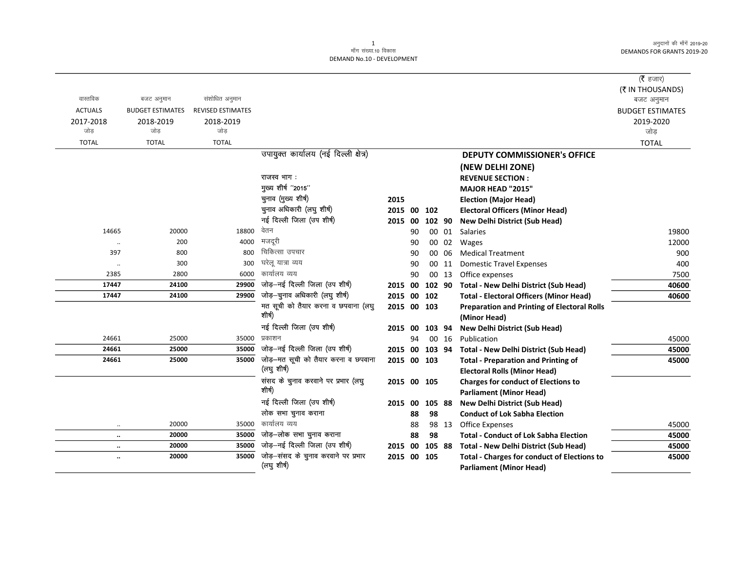$\overline{\phantom{0}}$ 

|                |                         |                          |                                                                       |             |    |        |       |                                                                              | ( $\bar{\tau}$ हजार)    |
|----------------|-------------------------|--------------------------|-----------------------------------------------------------------------|-------------|----|--------|-------|------------------------------------------------------------------------------|-------------------------|
|                |                         |                          |                                                                       |             |    |        |       |                                                                              | (₹ IN THOUSANDS)        |
| वास्तविक       | बजट अनुमान              | संशोधित अनुमान           |                                                                       |             |    |        |       |                                                                              | बजट अनुमान              |
| <b>ACTUALS</b> | <b>BUDGET ESTIMATES</b> | <b>REVISED ESTIMATES</b> |                                                                       |             |    |        |       |                                                                              | <b>BUDGET ESTIMATES</b> |
| 2017-2018      | 2018-2019               | 2018-2019                |                                                                       |             |    |        |       |                                                                              | 2019-2020               |
| जोड            | जोड                     | जोड                      |                                                                       |             |    |        |       |                                                                              | जोड                     |
| <b>TOTAL</b>   | <b>TOTAL</b>            | <b>TOTAL</b>             |                                                                       |             |    |        |       |                                                                              | <b>TOTAL</b>            |
|                |                         |                          | उपायुक्त कार्यालय (नई दिल्ली क्षेत्र)                                 |             |    |        |       | <b>DEPUTY COMMISSIONER's OFFICE</b>                                          |                         |
|                |                         |                          |                                                                       |             |    |        |       | (NEW DELHI ZONE)                                                             |                         |
|                |                         |                          | राजस्व भाग:                                                           |             |    |        |       | <b>REVENUE SECTION:</b>                                                      |                         |
|                |                         |                          | मुख्य शीर्ष "2015"                                                    |             |    |        |       | MAJOR HEAD "2015"                                                            |                         |
|                |                         |                          | चुनाव (मुख्य शीर्ष)                                                   | 2015        |    |        |       | <b>Election (Major Head)</b>                                                 |                         |
|                |                         |                          | चुनाव अधिकारी (लघु शीर्ष)                                             | 2015 00     |    | 102    |       | <b>Electoral Officers (Minor Head)</b>                                       |                         |
|                |                         |                          | नई दिल्ली जिला (उप शीर्ष)                                             | 2015 00     |    | 102 90 |       | New Delhi District (Sub Head)                                                |                         |
| 14665          | 20000                   | 18800                    | वेतन                                                                  |             | 90 |        | 00 01 | Salaries                                                                     | 19800                   |
| $\ddotsc$      | 200                     | 4000                     | मजदूरी                                                                |             | 90 |        |       | 00 02 Wages                                                                  | 12000                   |
| 397            | 800                     | 800                      | चिकित्सा उपचार                                                        |             | 90 |        | 00 06 | <b>Medical Treatment</b>                                                     | 900                     |
| $\ddotsc$      | 300                     | 300                      | घरेलू यात्रा व्यय                                                     |             | 90 |        | 00 11 | <b>Domestic Travel Expenses</b>                                              | 400                     |
| 2385           | 2800                    | 6000                     | कार्यालय व्यय                                                         |             | 90 |        | 00 13 | Office expenses                                                              | 7500                    |
| 17447          | 24100                   | 29900                    | जोड़-नई दिल्ली जिला (उप शीर्ष)                                        | 2015 00     |    | 102 90 |       | <b>Total - New Delhi District (Sub Head)</b>                                 | 40600                   |
| 17447          | 24100                   | 29900                    | जोड़-चुनाव अधिकारी (लघु शीर्ष)                                        | 2015 00 102 |    |        |       | <b>Total - Electoral Officers (Minor Head)</b>                               | 40600                   |
|                |                         |                          | मत सूची को तैयार करना व छपवाना (लघु<br>शीर्ष)                         | 2015 00 103 |    |        |       | <b>Preparation and Printing of Electoral Rolls</b>                           |                         |
|                |                         |                          |                                                                       |             |    |        |       | (Minor Head)                                                                 |                         |
|                |                         |                          | नई दिल्ली जिला (उप शीर्ष)                                             | 2015 00     |    | 103 94 |       | New Delhi District (Sub Head)                                                |                         |
| 24661          | 25000                   | 35000                    | प्रकाशन                                                               |             | 94 |        | 00 16 | Publication                                                                  | 45000                   |
| 24661          | 25000                   | 35000                    | जोड़-नई दिल्ली जिला (उप शीर्ष)<br>जोड़-मत सूची को तैयार करना व छपवाना | 2015 00     |    | 103 94 |       | <b>Total - New Delhi District (Sub Head)</b>                                 | 45000                   |
| 24661          | 25000                   | 35000                    | (लघु शीर्ष)                                                           | 2015 00 103 |    |        |       | <b>Total - Preparation and Printing of</b>                                   | 45000                   |
|                |                         |                          | संसद के चुनाव करवाने पर प्रभार (लघु                                   | 2015 00 105 |    |        |       | <b>Electoral Rolls (Minor Head)</b>                                          |                         |
|                |                         |                          | शीर्ष)                                                                |             |    |        |       | <b>Charges for conduct of Elections to</b><br><b>Parliament (Minor Head)</b> |                         |
|                |                         |                          | नई दिल्ली जिला (उप शीर्ष)                                             | 2015 00     |    | 105 88 |       | <b>New Delhi District (Sub Head)</b>                                         |                         |
|                |                         |                          | लोक सभा चुनाव कराना                                                   |             | 88 | 98     |       | <b>Conduct of Lok Sabha Election</b>                                         |                         |
| $\ddotsc$      | 20000                   | 35000                    | कार्यालय व्यय                                                         |             | 88 |        | 98 13 | <b>Office Expenses</b>                                                       | 45000                   |
| $\ddotsc$      | 20000                   | 35000                    | जोड़-लोक सभा चुनाव कराना                                              |             | 88 | 98     |       | <b>Total - Conduct of Lok Sabha Election</b>                                 | 45000                   |
| $\ddotsc$      | 20000                   | 35000                    | जोड़-नई दिल्ली जिला (उप शीर्ष)                                        | 2015 00     |    | 105 88 |       | <b>Total - New Delhi District (Sub Head)</b>                                 | 45000                   |
| $\ddotsc$      | 20000                   | 35000                    | जोड़-संसद के चुनाव करवाने पर प्रभार                                   | 2015 00 105 |    |        |       | <b>Total - Charges for conduct of Elections to</b>                           | 45000                   |
|                |                         |                          | (लघु शीर्ष)                                                           |             |    |        |       | <b>Parliament (Minor Head)</b>                                               |                         |
|                |                         |                          |                                                                       |             |    |        |       |                                                                              |                         |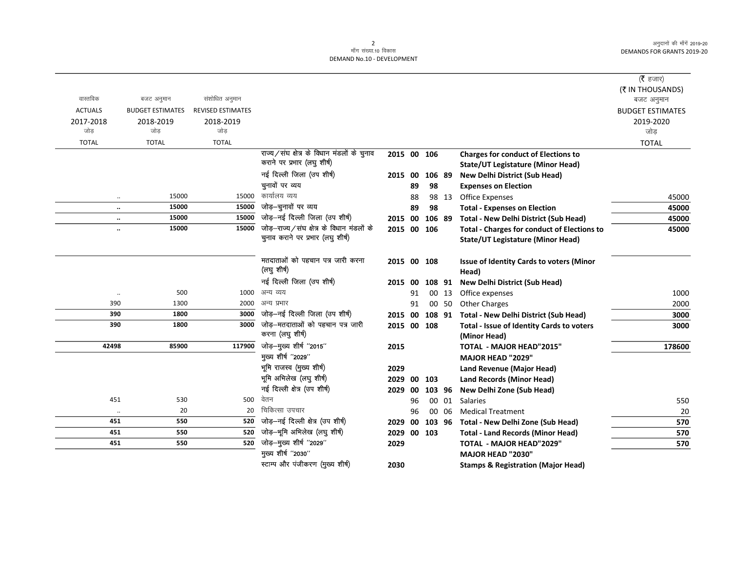$\overline{\phantom{0}}$ 

|                      |                         |                          |                                            |             |    |        |       |                                                    | ( $\bar{\tau}$ हजार)    |
|----------------------|-------------------------|--------------------------|--------------------------------------------|-------------|----|--------|-------|----------------------------------------------------|-------------------------|
|                      |                         |                          |                                            |             |    |        |       |                                                    | (₹ IN THOUSANDS)        |
| वास्तविक             | बजट अनुमान              | संशोधित अनुमान           |                                            |             |    |        |       |                                                    | बजट अनुमान              |
| <b>ACTUALS</b>       | <b>BUDGET ESTIMATES</b> | <b>REVISED ESTIMATES</b> |                                            |             |    |        |       |                                                    | <b>BUDGET ESTIMATES</b> |
| 2017-2018            | 2018-2019               | 2018-2019                |                                            |             |    |        |       |                                                    | 2019-2020               |
| जोड                  | जोड                     | जोड                      |                                            |             |    |        |       |                                                    | जोड                     |
| <b>TOTAL</b>         | <b>TOTAL</b>            | <b>TOTAL</b>             |                                            |             |    |        |       |                                                    | <b>TOTAL</b>            |
|                      |                         |                          | राज्य/संघ क्षेत्र के विधान मंडलों के चुनाव | 2015 00 106 |    |        |       | <b>Charges for conduct of Elections to</b>         |                         |
|                      |                         |                          | कराने पर प्रभार (लघु शीर्ष)                |             |    |        |       | <b>State/UT Legistature (Minor Head)</b>           |                         |
|                      |                         |                          | नई दिल्ली जिला (उप शीर्ष)                  | 2015        | 00 | 106 89 |       | <b>New Delhi District (Sub Head)</b>               |                         |
|                      |                         |                          | चुनावों पर व्यय                            |             | 89 | 98     |       | <b>Expenses on Election</b>                        |                         |
| $\ddotsc$            | 15000                   | 15000                    | कार्यालय व्यय                              |             | 88 |        | 98 13 | <b>Office Expenses</b>                             | 45000                   |
| $\ldots$             | 15000                   | 15000                    | जोड़-चुनावों पर व्यय                       |             | 89 | 98     |       | <b>Total - Expenses on Election</b>                | 45000                   |
|                      | 15000                   | 15000                    | जोड़-नई दिल्ली जिला (उप शीर्ष)             | 2015 00     |    | 106 89 |       | <b>Total - New Delhi District (Sub Head)</b>       | 45000                   |
| $\ddot{\phantom{a}}$ | 15000                   | 15000                    | जोड़-राज्य/संघ क्षेत्र के विधान मंडलों के  | 2015 00     |    | 106    |       | <b>Total - Charges for conduct of Elections to</b> | 45000                   |
|                      |                         |                          | चुनाव कराने पर प्रभार (लघु शीर्ष)          |             |    |        |       | <b>State/UT Legistature (Minor Head)</b>           |                         |
|                      |                         |                          | मतदाताओं को पहचान पत्र जारी करना           | 2015 00 108 |    |        |       | <b>Issue of Identity Cards to voters (Minor</b>    |                         |
|                      |                         |                          | (लघु शीर्ष)                                |             |    |        |       | Head)                                              |                         |
|                      |                         |                          | नई दिल्ली जिला (उप शीर्ष)                  | 2015 00     |    | 108 91 |       | <b>New Delhi District (Sub Head)</b>               |                         |
| $\cdot\cdot$         | 500                     | 1000                     | अन्य व्यय                                  |             | 91 |        | 00 13 | Office expenses                                    | 1000                    |
| 390                  | 1300                    | 2000                     | अन्य प्रभार                                |             | 91 |        | 00 50 | <b>Other Charges</b>                               | 2000                    |
| 390                  | 1800                    | 3000                     | जोड़-नई दिल्ली जिला (उप शीर्ष)             | 2015 00     |    | 108 91 |       | <b>Total - New Delhi District (Sub Head)</b>       | 3000                    |
| 390                  | 1800                    | 3000                     | जोड़–मतदाताओं को पहचान पत्र जारी           | 2015 00     |    | 108    |       | Total - Issue of Identity Cards to voters          | 3000                    |
|                      |                         |                          | करना (लघु शीर्ष)                           |             |    |        |       | (Minor Head)                                       |                         |
| 42498                | 85900                   | 117900                   | जोड़-मुख्य शीर्ष "2015"                    | 2015        |    |        |       | <b>TOTAL - MAJOR HEAD"2015"</b>                    | 178600                  |
|                      |                         |                          | मुख्य शीर्ष "2029"                         |             |    |        |       | MAJOR HEAD "2029"                                  |                         |
|                      |                         |                          | भूमि राजस्व (मुख्य शीर्ष)                  | 2029        |    |        |       | <b>Land Revenue (Major Head)</b>                   |                         |
|                      |                         |                          | भूमि अभिलेख (लघु शीर्ष)                    | 2029 00     |    | 103    |       | <b>Land Records (Minor Head)</b>                   |                         |
|                      |                         |                          | नई दिल्ली क्षेत्र (उप शीर्ष)               | 2029        | 00 | 103 96 |       | New Delhi Zone (Sub Head)                          |                         |
| 451                  | 530                     | 500                      | वेतन                                       |             | 96 |        | 00 01 | <b>Salaries</b>                                    | 550                     |
| $\cdot\cdot$         | 20                      | 20                       | चिकित्सा उपचार                             |             | 96 |        | 00 06 | <b>Medical Treatment</b>                           | 20                      |
| 451                  | 550                     | 520                      | जोड़-नई दिल्ली क्षेत्र (उप शीर्ष)          | 2029        | 00 | 103 96 |       | Total - New Delhi Zone (Sub Head)                  | 570                     |
| 451                  | 550                     | 520                      | जोड़-भूमि अभिलेख (लघु शीर्ष)               | 2029        | 00 | 103    |       | <b>Total - Land Records (Minor Head)</b>           | 570                     |
| 451                  | 550                     | 520                      | जोड़-मुख्य शीर्ष "2029"                    | 2029        |    |        |       | <b>TOTAL - MAJOR HEAD"2029"</b>                    | 570                     |
|                      |                         |                          | मुख्य शीर्ष "2030"                         |             |    |        |       | MAJOR HEAD "2030"                                  |                         |
|                      |                         |                          | स्टाम्प और पंजीकरण (मुख्य शीर्ष)           | 2030        |    |        |       | <b>Stamps &amp; Registration (Major Head)</b>      |                         |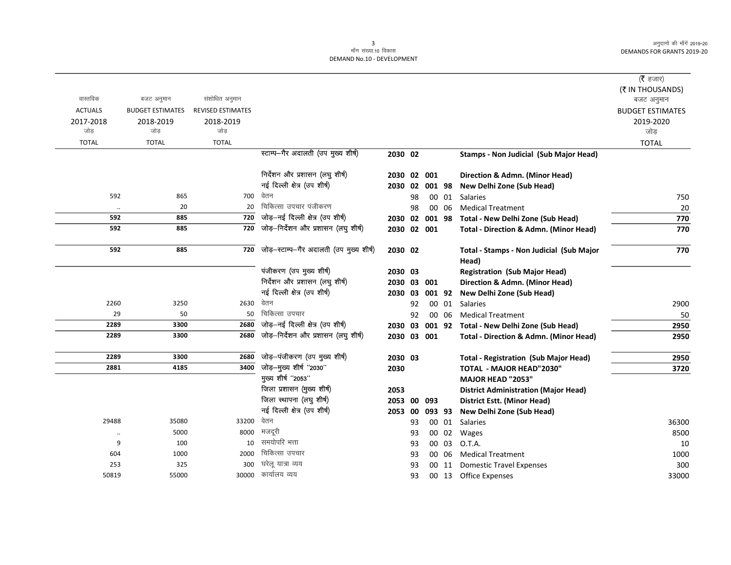|                |                         |                          |                                          |                |    |        |       |                                                   | ( <b>रै</b> हजार)       |
|----------------|-------------------------|--------------------------|------------------------------------------|----------------|----|--------|-------|---------------------------------------------------|-------------------------|
|                |                         |                          |                                          |                |    |        |       |                                                   | (₹ IN THOUSANDS)        |
| वास्तविक       | बजट अनुमान              | संशोधित अनुमान           |                                          |                |    |        |       |                                                   | बजट अनुमान              |
| <b>ACTUALS</b> | <b>BUDGET ESTIMATES</b> | <b>REVISED ESTIMATES</b> |                                          |                |    |        |       |                                                   | <b>BUDGET ESTIMATES</b> |
| 2017-2018      | 2018-2019               | 2018-2019                |                                          |                |    |        |       |                                                   | 2019-2020               |
| जोड़           | जोड                     | जोड                      |                                          |                |    |        |       |                                                   | जोड़                    |
| <b>TOTAL</b>   | <b>TOTAL</b>            | <b>TOTAL</b>             |                                          |                |    |        |       |                                                   | <b>TOTAL</b>            |
|                |                         |                          | स्टाम्प-गैर अदालती (उप मुख्य शीर्ष)      | 2030 02        |    |        |       | Stamps - Non Judicial (Sub Major Head)            |                         |
|                |                         |                          | निर्देशन और प्रशासन (लघु शीर्ष)          | 2030 02 001    |    |        |       | Direction & Admn. (Minor Head)                    |                         |
|                |                         |                          | नई दिल्ली क्षेत्र (उप शीर्ष)             | 2030 02        |    | 001 98 |       | New Delhi Zone (Sub Head)                         |                         |
| 592            | 865                     |                          | 700 वेतन                                 |                | 98 |        | 00 01 | Salaries                                          | 750                     |
| $\ddotsc$      | 20                      | 20                       | चिकित्सा उपचार पंजीकरण                   |                | 98 |        | 00 06 | <b>Medical Treatment</b>                          | 20                      |
| 592            | 885                     | 720                      | जोड़-नई दिल्ली क्षेत्र (उप शीर्ष)        | 2030 02 001 98 |    |        |       | Total - New Delhi Zone (Sub Head)                 | 770                     |
| 592            | 885                     | 720                      | जोड़-निर्देशन और प्रशासन (लघु शीर्ष)     | 2030 02 001    |    |        |       | <b>Total - Direction &amp; Admn. (Minor Head)</b> | 770                     |
| 592            | 885                     | 720                      | जोड़-स्टाम्प-गैर अदालती (उप मुख्य शीर्ष) | 2030 02        |    |        |       | Total - Stamps - Non Judicial (Sub Major<br>Head) | 770                     |
|                |                         |                          | पंजीकरण (उप मुख्य शीर्ष)                 | 2030 03        |    |        |       | <b>Registration (Sub Major Head)</b>              |                         |
|                |                         |                          | निर्देशन और प्रशासन (लघु शीर्ष)          | 2030 03 001    |    |        |       | Direction & Admn. (Minor Head)                    |                         |
|                |                         |                          | नई दिल्ली क्षेत्र (उप शीर्ष)             | 2030 03        |    | 001 92 |       | New Delhi Zone (Sub Head)                         |                         |
| 2260           | 3250                    | 2630                     | वेतन                                     |                | 92 |        | 00 01 | Salaries                                          | 2900                    |
| 29             | 50                      | 50                       | चिकित्सा उपचार                           |                | 92 | 00     | 06    | <b>Medical Treatment</b>                          | 50                      |
| 2289           | 3300                    | 2680                     | जोड़-नई दिल्ली क्षेत्र (उप शीर्ष)        | 2030 03        |    |        |       | 001 92 Total - New Delhi Zone (Sub Head)          | 2950                    |
| 2289           | 3300                    | 2680                     | जोड़-निर्देशन और प्रशासन (लघु शीर्ष)     | 2030 03 001    |    |        |       | Total - Direction & Admn. (Minor Head)            | 2950                    |
| 2289           | 3300                    | 2680                     | जोड़-पंजीकरण (उप मुख्य शीर्ष)            | 2030 03        |    |        |       | <b>Total - Registration (Sub Major Head)</b>      | 2950                    |
| 2881           | 4185                    | 3400                     | जोड़-मुख्य शीर्ष "2030"                  | 2030           |    |        |       | <b>TOTAL - MAJOR HEAD"2030"</b>                   | 3720                    |
|                |                         |                          | मुख्य शीर्ष "2053"                       |                |    |        |       | MAJOR HEAD "2053"                                 |                         |
|                |                         |                          | जिला प्रशासन (मुख्य शीर्ष)               | 2053           |    |        |       | <b>District Administration (Major Head)</b>       |                         |
|                |                         |                          | जिला स्थापना (लघु शीर्ष)                 | 2053 00 093    |    |        |       | <b>District Estt. (Minor Head)</b>                |                         |
|                |                         |                          | नई दिल्ली क्षेत्र (उप शीर्ष)             | 2053 00        |    | 093 93 |       | New Delhi Zone (Sub Head)                         |                         |
| 29488          | 35080                   | 33200                    | वेतन                                     |                | 93 |        | 00 01 | Salaries                                          | 36300                   |
|                | 5000                    | 8000                     | मजदूरी                                   |                | 93 |        | 00 02 | Wages                                             | 8500                    |
| 9              | 100                     | 10                       | समयोपरि भत्ता                            |                | 93 |        | 00 03 | O.T.A.                                            | 10                      |
| 604            | 1000                    | 2000                     | चिकित्सा उपचार                           |                | 93 |        | 00 06 | <b>Medical Treatment</b>                          | 1000                    |
| 253            | 325                     | 300                      | घरेलू यात्रा व्यय                        |                | 93 |        | 00 11 | <b>Domestic Travel Expenses</b>                   | 300                     |
| 50819          | 55000                   | 30000                    | कार्यालय व्यय                            |                | 93 |        |       | 00 13 Office Expenses                             | 33000                   |
|                |                         |                          |                                          |                |    |        |       |                                                   |                         |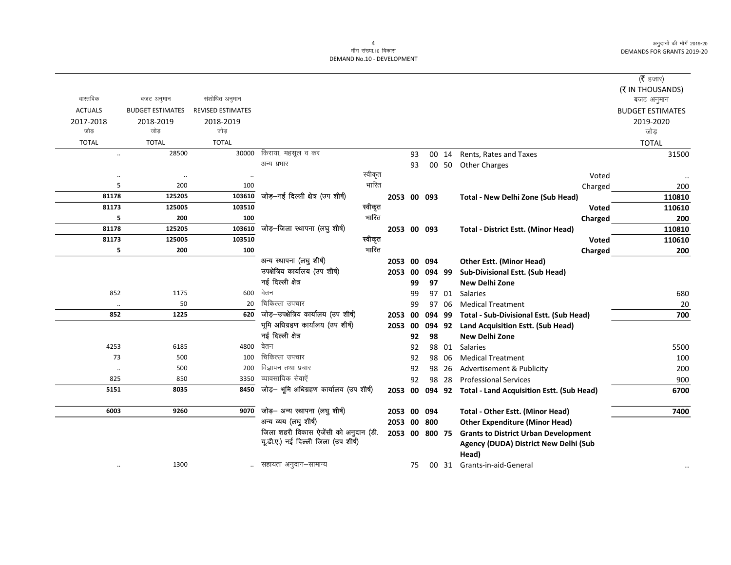|                |                         |                          |                                         |         |                |    |        |       |                                                  | ( $\bar{\tau}$ हजार)    |
|----------------|-------------------------|--------------------------|-----------------------------------------|---------|----------------|----|--------|-------|--------------------------------------------------|-------------------------|
| वास्तविक       |                         | संशोधित अनुमान           |                                         |         |                |    |        |       |                                                  | (₹ IN THOUSANDS)        |
|                | बजट अनुमान              |                          |                                         |         |                |    |        |       |                                                  | बजट अनुमान              |
| <b>ACTUALS</b> | <b>BUDGET ESTIMATES</b> | <b>REVISED ESTIMATES</b> |                                         |         |                |    |        |       |                                                  | <b>BUDGET ESTIMATES</b> |
| 2017-2018      | 2018-2019               | 2018-2019                |                                         |         |                |    |        |       |                                                  | 2019-2020               |
| जोड़           | जोड़                    | जोड़                     |                                         |         |                |    |        |       |                                                  | जोड                     |
| <b>TOTAL</b>   | <b>TOTAL</b>            | <b>TOTAL</b>             |                                         |         |                |    |        |       |                                                  | <b>TOTAL</b>            |
| $\ldots$       | 28500                   | 30000                    | किराया, महसूल व कर                      |         |                | 93 |        | 00 14 | Rents, Rates and Taxes                           | 31500                   |
|                |                         |                          | अन्य प्रभार                             |         |                | 93 |        | 00 50 | <b>Other Charges</b>                             |                         |
| $\ddotsc$      | $\ddotsc$               | $\ddotsc$                |                                         | स्वीकृत |                |    |        |       | Voted                                            |                         |
| 5              | 200                     | 100                      |                                         | भारित   |                |    |        |       | Charged                                          | 200                     |
| 81178          | 125205                  | 103610                   | जोड़-नई दिल्ली क्षेत्र (उप शीर्ष)       |         | 2053 00 093    |    |        |       | Total - New Delhi Zone (Sub Head)                | 110810                  |
| 81173          | 125005                  | 103510                   |                                         | स्वीकृत |                |    |        |       | <b>Voted</b>                                     | 110610                  |
| 5              | 200                     | 100                      |                                         | भारित   |                |    |        |       | Charged                                          | 200                     |
| 81178          | 125205                  | 103610                   | जोड़-जिला स्थापना (लघु शीर्ष)           |         | 2053 00 093    |    |        |       | <b>Total - District Estt. (Minor Head)</b>       | 110810                  |
| 81173          | 125005                  | 103510                   |                                         | स्वीकृत |                |    |        |       | <b>Voted</b>                                     | 110610                  |
| 5              | 200                     | 100                      |                                         | भारित   |                |    |        |       | Charged                                          | 200                     |
|                |                         |                          | अन्य स्थापना (लघु शीर्ष)                |         | 2053 00        |    | 094    |       | <b>Other Estt. (Minor Head)</b>                  |                         |
|                |                         |                          | उपक्षेत्रिय कार्यालय (उप शीर्ष)         |         | 2053 00        |    | 094 99 |       | Sub-Divisional Estt. (Sub Head)                  |                         |
|                |                         |                          | नई दिल्ली क्षेत्र                       |         |                | 99 | 97     |       | <b>New Delhi Zone</b>                            |                         |
| 852            | 1175                    | 600                      | वेतन                                    |         |                | 99 |        | 97 01 | <b>Salaries</b>                                  | 680                     |
| $\cdot\cdot$   | 50                      | 20                       | चिकित्सा उपचार                          |         |                | 99 |        | 97 06 | <b>Medical Treatment</b>                         | 20                      |
| 852            | 1225                    | 620                      | जोड़-उपक्षेत्रिय कार्यालय (उप शीर्ष)    |         | 2053 00        |    | 094 99 |       | <b>Total - Sub-Divisional Estt. (Sub Head)</b>   | 700                     |
|                |                         |                          | भूमि अधिग्रहण कार्यालय (उप शीर्ष)       |         | 2053 00        |    | 094 92 |       | Land Acquisition Estt. (Sub Head)                |                         |
|                |                         |                          | नई दिल्ली क्षेत्र                       |         |                | 92 | 98     |       | <b>New Delhi Zone</b>                            |                         |
| 4253           | 6185                    | 4800                     | वेतन                                    |         |                | 92 |        | 98 01 | <b>Salaries</b>                                  | 5500                    |
| 73             | 500                     | 100                      | चिकित्सा उपचार                          |         |                | 92 |        | 98 06 | <b>Medical Treatment</b>                         | 100                     |
| $\ldots$       | 500                     | 200                      | विज्ञापन तथा प्रचार                     |         |                | 92 |        | 98 26 | Advertisement & Publicity                        | 200                     |
| 825            | 850                     | 3350                     | व्यावसायिक सेवाऐं                       |         |                | 92 |        | 98 28 | <b>Professional Services</b>                     | 900                     |
| 5151           | 8035                    | 8450                     | जोड़- भूमि अधिग्रहण कार्यालय (उप शीर्ष) |         | 2053 00        |    |        |       | 094 92 Total - Land Acquisition Estt. (Sub Head) | 6700                    |
|                |                         |                          |                                         |         |                |    |        |       |                                                  |                         |
| 6003           | 9260                    | 9070                     | जोड़- अन्य स्थापना (लघु शीर्ष)          |         | 2053 00 094    |    |        |       | <b>Total - Other Estt. (Minor Head)</b>          | 7400                    |
|                |                         |                          | अन्य व्यय (लघु शीर्ष)                   |         | 2053 00 800    |    |        |       | <b>Other Expenditure (Minor Head)</b>            |                         |
|                |                         |                          | जिला शहरी विकास ऐजेंसी को अनुदान (डी.   |         | 2053 00 800 75 |    |        |       | <b>Grants to District Urban Development</b>      |                         |
|                |                         |                          | यूडी.ए.) नई दिल्ली जिला (उप शीर्ष)      |         |                |    |        |       | Agency (DUDA) District New Delhi (Sub            |                         |
|                |                         |                          |                                         |         |                |    |        |       | Head)                                            |                         |
| $\cdot\cdot$   | 1300                    |                          | सहायता अनुदान–सामान्य                   |         |                | 75 |        | 00 31 | Grants-in-aid-General                            |                         |
|                |                         |                          |                                         |         |                |    |        |       |                                                  |                         |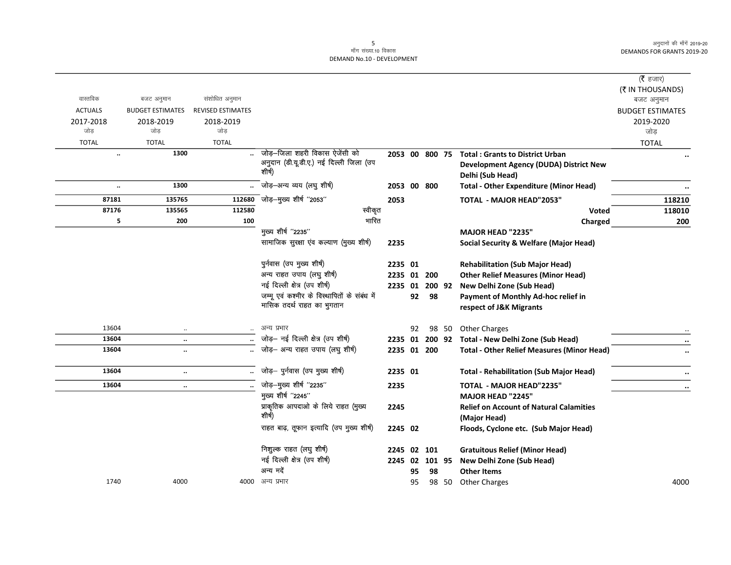| वास्तविक             |                                       |                                            |                                                   |         |         |             |       |                                                                   | ( $\bar{\tau}$ हजार)<br>(₹ IN THOUSANDS) |
|----------------------|---------------------------------------|--------------------------------------------|---------------------------------------------------|---------|---------|-------------|-------|-------------------------------------------------------------------|------------------------------------------|
| <b>ACTUALS</b>       | बजट अनुमान<br><b>BUDGET ESTIMATES</b> | संशोधित अनुमान<br><b>REVISED ESTIMATES</b> |                                                   |         |         |             |       |                                                                   | बजट अनुमान                               |
|                      |                                       |                                            |                                                   |         |         |             |       |                                                                   | <b>BUDGET ESTIMATES</b><br>2019-2020     |
| 2017-2018<br>जोड़    | 2018-2019<br>जोड                      | 2018-2019<br>जोड़                          |                                                   |         |         |             |       |                                                                   | जोड                                      |
| <b>TOTAL</b>         | <b>TOTAL</b>                          | <b>TOTAL</b>                               |                                                   |         |         |             |       |                                                                   | <b>TOTAL</b>                             |
| $\ddot{\phantom{a}}$ | 1300                                  |                                            | जोड़–जिला शहरी विकास ऐजेंसी को                    |         |         |             |       | 2053 00 800 75 Total : Grants to District Urban                   |                                          |
|                      |                                       |                                            | अनुदान (डी.यू.डी.ए.) नई दिल्ली जिला (उप<br>शीर्ष) |         |         |             |       | <b>Development Agency (DUDA) District New</b><br>Delhi (Sub Head) |                                          |
| $\ldots$             | 1300                                  |                                            | जोड़—अन्य व्यय (लघु शीर्ष)                        |         |         | 2053 00 800 |       | <b>Total - Other Expenditure (Minor Head)</b>                     |                                          |
| 87181                | 135765                                | 112680                                     | -<br>जोड़—मुख्य शीर्ष "2053"                      | 2053    |         |             |       | <b>TOTAL - MAJOR HEAD"2053"</b>                                   | 118210                                   |
| 87176                | 135565                                | 112580                                     | स्वीकृत                                           |         |         |             |       | Voted                                                             | 118010                                   |
| 5                    | 200                                   | 100                                        | भारित                                             |         |         |             |       | Charged                                                           | 200                                      |
|                      |                                       |                                            | मुख्य शीर्ष "2235"                                |         |         |             |       | <b>MAJOR HEAD "2235"</b>                                          |                                          |
|                      |                                       |                                            | सामाजिक सुरक्षा एव कल्याण (मुख्य शीर्ष)           | 2235    |         |             |       | <b>Social Security &amp; Welfare (Major Head)</b>                 |                                          |
|                      |                                       |                                            | पुर्नवास (उप मुख्य शीर्ष)                         | 2235 01 |         |             |       | <b>Rehabilitation (Sub Major Head)</b>                            |                                          |
|                      |                                       |                                            | अन्य राहत उपाय (लघु शीर्ष)                        |         |         | 2235 01 200 |       | <b>Other Relief Measures (Minor Head)</b>                         |                                          |
|                      |                                       |                                            | नई दिल्ली क्षेत्र (उप शीर्ष)                      |         |         |             |       | 2235 01 200 92 New Delhi Zone (Sub Head)                          |                                          |
|                      |                                       |                                            | जम्मू एवं कश्मीर के विस्थापितों के संबंध में      |         | 92      | 98          |       | Payment of Monthly Ad-hoc relief in                               |                                          |
|                      |                                       |                                            | मासिक तदर्थ राहत का भुगतान                        |         |         |             |       | respect of J&K Migrants                                           |                                          |
| 13604                | $\ddotsc$                             |                                            | अन्य प्रभार                                       |         | 92      |             | 98 50 | <b>Other Charges</b>                                              |                                          |
| 13604                | $\ddotsc$                             |                                            | जोड़- नई दिल्ली क्षेत्र (उप शीर्ष)                |         |         |             |       | 2235 01 200 92 Total - New Delhi Zone (Sub Head)                  |                                          |
| 13604                | $\ddotsc$                             |                                            | जोड़- अन्य राहत उपाय (लघु शीर्ष)                  |         |         | 2235 01 200 |       | <b>Total - Other Relief Measures (Minor Head)</b>                 |                                          |
| 13604                | $\ddotsc$                             |                                            | जोड़- पुर्नवास (उप मुख्य शीर्ष)                   | 2235 01 |         |             |       | <b>Total - Rehabilitation (Sub Major Head)</b>                    |                                          |
| 13604                | $\ddotsc$                             |                                            | जोड़-मुख्य शीर्ष "2235"                           | 2235    |         |             |       | <b>TOTAL - MAJOR HEAD"2235"</b>                                   |                                          |
|                      |                                       |                                            | मुख्य शीर्ष "2245"                                |         |         |             |       | MAJOR HEAD "2245"                                                 |                                          |
|                      |                                       |                                            | प्राकृतिक आपदाओं के लिये राहत (मुख्य              | 2245    |         |             |       | <b>Relief on Account of Natural Calamities</b>                    |                                          |
|                      |                                       |                                            | शीर्ष)                                            |         |         |             |       | (Major Head)                                                      |                                          |
|                      |                                       |                                            | राहत बाढ़, तूफान इत्यादि (उप मुख्य शीर्ष)         | 2245 02 |         |             |       | Floods, Cyclone etc. (Sub Major Head)                             |                                          |
|                      |                                       |                                            | निशुल्क राहत (लघु शीर्ष)                          |         | 2245 02 | 101         |       | <b>Gratuitous Relief (Minor Head)</b>                             |                                          |
|                      |                                       |                                            | नई दिल्ली क्षेत्र (उप शीर्ष)                      |         | 2245 02 | 101 95      |       | New Delhi Zone (Sub Head)                                         |                                          |
|                      |                                       |                                            | अन्य मदे                                          |         | 95      | 98          |       | <b>Other Items</b>                                                |                                          |
| 1740                 | 4000                                  |                                            | 4000 अन्य प्रभार                                  |         | 95      |             | 98 50 | <b>Other Charges</b>                                              | 4000                                     |